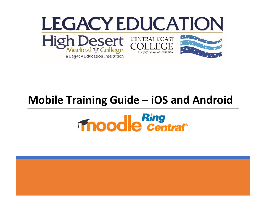

### **Mobile Training Guide – iOS and Android**

# **Thoodle central®**

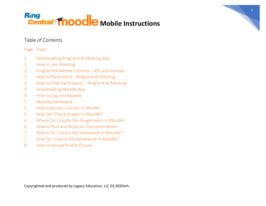### Table of Contents

### Page Topic

- 2. Downloading RingCentral Meeting App
- 2. How to Join Meeting
- 3. RingCentral Mobile Controls iOS and Android
- 3. How to Raise Hand RingCentral Meeting
- 3. How to Chat Participants RingCentral Meeting
- 4. Downloading Moodle App
- 4. How to Log into Moodle
- 5. Moodle Dashboard
- 5. How to Access Courses in Moodle
- 5. How Do I Check Grades in Moodle?
- 6. Where Do I Locate My Assignments in Moodle?
- 6. How to Post and Reply on Discussion Board
- 7. Where Do I Locate My Homework in Moodle?
- 7. How Do I Submit My Homework in Moodle?
- 8. How to Upload Profile Picture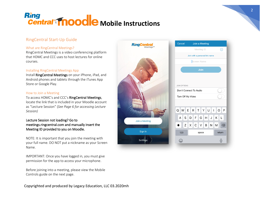RingCentra

Join a Meeting

Sign In

Settings

### RingCentral Start-Up Guide

### What are RingCentral Meetings?

RingCentral Meetings is a video conferencing platform that HDMC and CCC uses to host lectures for online courses.

### Installing RingCentral Meetings App

Install RingCentral Meetings on your iPhone, iPad, and Android phones and tablets through the iTunes App Store or Google Play.

### How to Join a Meeting

To access HDMC's and CCC's RingCentral Meetings, locate the link that is included in your Moodle account as "Lecture Session" (*See Page 6 for accessing Lecture Session)*

### Lecture Session not loading? Go to meetings.ringcentral.com and manually insert the Meeting ID provided to you on Moodle.

NOTE: It is important that you join the meeting with your full name. DO NOT put a nickname as your Screen Name.

IMPORTANT: Once you have logged in, you must give permission for the app to access your microphone.

Before joining into a meeting, please view the Mobile Controls guide on the next page.

Copyrighted and produced by Legacy Education, LLC 03.2020mh

| Cancel              | <b>Join a Meeting</b>           |                                           |
|---------------------|---------------------------------|-------------------------------------------|
|                     | Meeting ID                      |                                           |
|                     | Join with a personal link name  |                                           |
|                     | Screen Name                     |                                           |
|                     | Join                            |                                           |
|                     |                                 |                                           |
| <b>JOIN OPTIONS</b> |                                 |                                           |
|                     | Don't Connect To Audio          |                                           |
| Turn Off My Video   |                                 |                                           |
|                     |                                 |                                           |
| Q<br>W              | R T Y U I O<br>E                | P                                         |
| S<br>A              | DFGHJK                          | L                                         |
| Z                   | $x \mid c$<br>$\mathsf{B}$<br>V | ${\sf N}$<br>M<br>$\left( \times \right)$ |
| 123                 | space                           | return                                    |
|                     |                                 |                                           |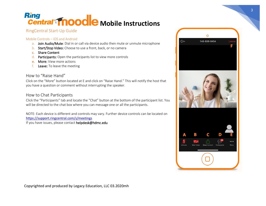### Ring **Mobile Mobile Instructions**

### RingCentral Start-Up Guide

### Mobile Controls – iOS and Android

- a. Join Audio/Mute: Dial in or call via device audio then mute or unmute microphone
- b. Start/Stop Video: Choose to use a front, back, or no camera
- c. Share Content
- d. Participants: Open the participants list to view more controls
- e. More: View more actions
- f. Leave: To leave the meeting

### How to "Raise Hand"

Click on the "More" button located at E and click on "Raise Hand." This will notify the host that you have a question or comment without interrupting the speaker.

### How to Chat Participants

Click the "Participants" tab and locate the "Chat" button at the bottom of the participant list. You will be directed to the chat box where you can message one or all the participants.

NOTE: Each device is different and controls may vary. Further device controls can be located on <https://support.ringcentral.com/s/meetings>

If you have issues, please contact helpdesk@hdmc.edu



 $\Omega$ 

148-859-8454

dor.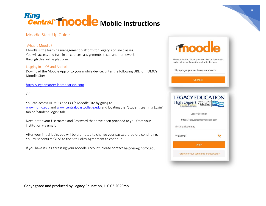### Moodle Start-Up Guide

### What Is Moodle?

Moodle is the learning management platform for Legacy's online classes. You will access and turn in all courses, assignments, tests, and homework through this online platform.

#### Logging In – iOS and Android

Download the Moodle App onto your mobile device. Enter the following URL for HDMC's Moodle Site:

### [https://legacycareer.learnpearson.com](https://legacycareer.learnpearson.com/)

#### OR

You can access HDMC's and CCC's Moodle Site by going to: [www.hdmc.edu](http://www.hdmc.edu/) and [www.centralcoastcollege.edu](http://www.centralcoastcollege.edu/) and locating the "Student Learning Login" tab or "Student Login" tab.

Next, enter your Username and Password that have been provided to you from your institution via email.

After your initial login, you will be prompted to change your password before continuing. You must confirm "YES" to the Site Policy Agreement to continue.

If you have issues accessing your Moodle Account, please contact helpdesk@hdmc.edu

### moodle Please enter the URL of your Moodle site. Note that it might not be configured to work with this app. https://legacycareer.learnpearson.com Connect! **LEGACY EDUCATION** High Desert CENTRAL COAST Legacy Education https://legacycareer.learnpearson.com firstinitiallastname Welcome1!  $\sum_{i=1}^{n}$ Forgotten your username or password?

Copyrighted and produced by Legacy Education, LLC 03.2020mh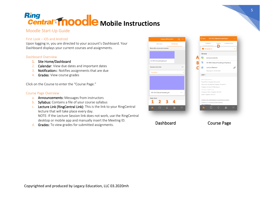### Ring **Mobile Mobile Instructions**

### Moodle Start-Up Guide

### First Look – iOS and Android

Upon logging in, you are directed to your account's Dashboard. Your Dashboard displays your current courses and assignments.

#### Dashboard Overview

- 1. Site Home/Dashboard
- 2. Calendar: View due dates and important dates
- 3. Notifications: Notifies assignments that are due
- 4. Grades: View course grades

Click on the Course to enter the "Course Page."

#### Course Page Overview

- a. Announcements: Messages from instructors
- b. Syllabus: Contains a file of your course syllabus
- c. Lecture Link (RingCentral Link): This is the link to your RingCentral lecture that will take place every day. NOTE: If the Lecture Session link does not work, use the RingCentral

desktop or mobile app and manually insert the Meeting ID.

d. Grades: To view grades for submitted assignments.

| <b>Legacy Education</b>       |                  | Q …      | $\langle$ Back |                                                              | <b>CA 103 Clinical Assisting III</b>         |
|-------------------------------|------------------|----------|----------------|--------------------------------------------------------------|----------------------------------------------|
| Site home                     | <b>Dashboard</b> |          |                | <b>Contents</b>                                              | Grades                                       |
| Recently accessed courses     |                  |          |                | All sections                                                 |                                              |
|                               |                  |          |                | General                                                      |                                              |
|                               |                  |          | a              | Announcements                                                |                                              |
| CA 103 Clinical Assisting III |                  |          | w              |                                                              | CA 103 Clinical Assisting III Syllabus       |
| Course overview               |                  |          |                | Lecture Session                                              |                                              |
| In progress                   |                  |          |                |                                                              | Meeting ID: 7873272827                       |
|                               |                  |          | Unit 1         |                                                              |                                              |
|                               |                  |          |                | Read Chapters 30 and 31<br>PowerPoint Chapters 30 and 31     |                                              |
|                               |                  |          |                |                                                              | Discussion Questions Chapters 30 and 31      |
|                               |                  |          |                | Chapters 30 and 31 Homework<br>Study Guide: Chapters 30 & 31 |                                              |
| CA 103 Clinical Assisting III |                  |          |                | Computer Work: Chapters 30 & 31                              |                                              |
|                               |                  |          |                | Exam: Chapters 30 & 31                                       |                                              |
| <b>Help Desk</b>              |                  |          |                |                                                              | Chapter 30: Ophthalmology and Otolaryngology |
|                               |                  |          |                |                                                              | Chapter 31: Assisting in Dermatology         |
|                               |                  |          |                | TEVTROOVS                                                    |                                              |
| △<br>▄                        | alat             | $\equiv$ |                | Ħ<br>e.                                                      | $\Box$                                       |

Dashboard Course Page

Competencies

Þ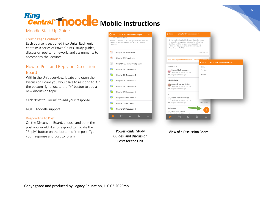### Ring **Mobile Mobile Instructions**

### Moodle Start-Up Guide

### Course Page Continued

Each course is sectioned into Units. Each unit contains a series of PowerPoints, study guides, discussion posts, homework, and assignments to accompany the lectures.

### How to Post and Reply on Discussion Board

Within the Unit overview, locate and open the Discussion Board you would like to respond to. On the bottom right, locate the "+" button to add a new discussion topic.

Click "Post to Forum" to add your response.

NOTE: Moodle support

#### Responding to Post

On the Discussion Board, choose and open the post you would like to respond to. Locate the "Reply" button on the bottom of the post. Type your response and post to forum.

#### CA 103 Clinical Assisting III  $\epsilon$  Back Proctor, D., Adams. (2017). Kinn's the medical assistant;<br>Skills book and Study Guide (13<sup>th</sup> ed.). St. Louis. MO: Saundere  $\mathbf{R}$ Chapter 30 PowerPoint  $\mathbf{P}_{\mathbf{S}}$ Chapter 31 PowerPoint Ε Chapters 30 and 31 Study Guide  $\blacksquare$ Chapter 30 Discussion 1 G Chapter 30 Discussion 2 Chapter 30 Discussion 3 Chapter 30 Discussion 4 G 晨 Chapter 31 Discussion 5 a Chapter 31 Discussion 6 Chapter 31 Discussion 7 Chapter 31 Discussion 8  $\mathbb{I}$

PowerPoints, Study Guides, and Discussion Posts for the Unit

| 1. Discuss legal and ethical issues that might arise<br>when caring for a patient with a vision or hearing<br>deficit, in addition to requirements established by<br>HIPAA and the Americans with Disabilities Act<br>Amendments (ADAA). |                              |                            |
|------------------------------------------------------------------------------------------------------------------------------------------------------------------------------------------------------------------------------------------|------------------------------|----------------------------|
|                                                                                                                                                                                                                                          | 26 discussions               |                            |
| Sort by last post creation date in descen                                                                                                                                                                                                | $\overline{\mathbf{C}}$ Back | Add a new discussion topic |
| <b>Discussion 1</b>                                                                                                                                                                                                                      | Subject                      |                            |
| Esmeralda G Vasquez<br>Wed, Mar 18, 2020, 1:05 PM                                                                                                                                                                                        | Subject                      |                            |
| Last post 20 hours ago                                                                                                                                                                                                                   | Message                      |                            |
| sdkfdslfsdk                                                                                                                                                                                                                              |                              |                            |
| Alyssa G Munoz-Araiza<br>Wed, Mar 18, 2020, 1:03 PM<br>Last post 20 hours ago                                                                                                                                                            |                              |                            |
| Hi                                                                                                                                                                                                                                       |                              |                            |
| Mehdi Behtarinnezhad<br>Wed, Mar 18, 2020, 1:04 PM<br>Last post 20 hours ago                                                                                                                                                             | <sup>1</sup> 0 replies       |                            |
| Dejeanee                                                                                                                                                                                                                                 |                              |                            |
| DeJeanee Seaton                                                                                                                                                                                                                          |                              |                            |
|                                                                                                                                                                                                                                          | olol                         |                            |

View of a Discussion Board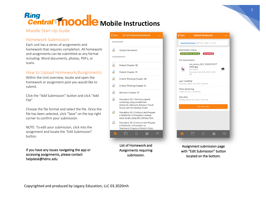### Moodle Start-Up Guide

### Homework Submission

Each unit has a series of assignments and homework that requires completion. All homework and assignments can be submitted as any format including: Word documents, photos, PDFs, or scans.

### How to Upload Homework/Assignments

Within the Unit overview, locate and open the homework or assignment post you would like to submit.

Click the "Add Submission" button and click "Add File"

Choose the file format and select the file. Once the file has been selected, click "Save" on the top right corner to confirm your submission.

NOTE: To edit your submission, click into the assignment and locate the "Edit Submission" button.

If you have any issues navigating the app or accessing assignments, please contact helpdesk@hdmc.edu

| <b>く</b> Back   | <b>CA 103 Clinical Assisting III</b>                                                                                                 |
|-----------------|--------------------------------------------------------------------------------------------------------------------------------------|
| <b>HOMEWORK</b> |                                                                                                                                      |
| L               | Upload Homework                                                                                                                      |
|                 | <b>ASSIGNMENTS</b>                                                                                                                   |
| J               | Pretest Chapter 30                                                                                                                   |
| $\Box$          | Pretest Chapter 31                                                                                                                   |
| J               | Critical Thinking Chapter 30                                                                                                         |
| L               | <b>Critical Thinking Chapter 31</b>                                                                                                  |
| 凸               | Simchart Chapter 31                                                                                                                  |
| ₫               | Procedure 30-1 Perform patient<br>screening using established<br>protocols: Measure distance Visual<br>Acuity with the Snellen Chart |
|                 | Procedure 30-2 Instruct and Prepare<br>a Patient for a Procedure: Assess<br>color Acuity using the Ishihara Test                     |
| A               | Procedure 30-3 Instruct and Prepare<br>a Patient for a Procedure or<br>Treatment: Irrigate a Patient's Eyes                          |
|                 | alalla<br>$\bigcap$                                                                                                                  |
|                 |                                                                                                                                      |
|                 | ماالحمدا<br>امميم باممن                                                                                                              |

List of Homework and Assignments requiring submission.

|                  | Upload Homework: Pictures, type, or scans.                                                |
|------------------|-------------------------------------------------------------------------------------------|
|                  | Submission status                                                                         |
|                  | Submitted for grading<br>Not graded                                                       |
| File submissions |                                                                                           |
| ਨ                | cdv_photo_002_2020031917<br>4603.jpg<br>153.38 KB<br>Thursday, March 19, 2020, 5:46<br>PM |
| Last modified    | Thursday, March 19, 2020, 5:46 PM                                                         |
| Time remaining   | 3 days 6 hours 13 minutes                                                                 |
| Due date         | Monday, March 23, 2020, 12:00 AM                                                          |
|                  | <b>Edit submission</b>                                                                    |
|                  |                                                                                           |
|                  |                                                                                           |
|                  |                                                                                           |
|                  |                                                                                           |
|                  |                                                                                           |

Assignment submission page with "Edit Submission" button located on the bottom.

7